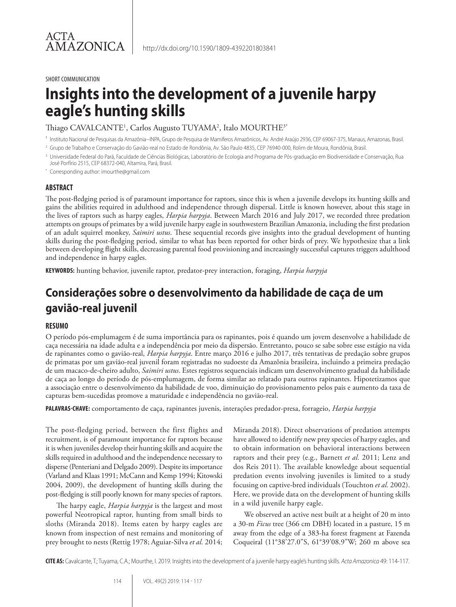#### SHORT COMMUNICATION

# **Insights into the development of a juvenile harpy eagle's hunting skills**

Thiago CAVALCANTE', Carlos Augusto TUYAMA<sup>2</sup>, Italo MOURTHE<sup>3</sup>'

1 Instituto Nacional de Pesquisas da Amazônia−INPA, Grupo de Pesquisa de Mamíferos Amazônicos, Av. André Araújo 2936, CEP 69067-375, Manaus, Amazonas, Brasil.

<sup>2</sup> Grupo de Trabalho e Conservação do Gavião-real no Estado de Rondônia, Av. São Paulo 4835, CEP 76940-000, Rolim de Moura, Rondônia, Brasil.

<sup>3</sup> Universidade Federal do Pará, Faculdade de Ciências Biológicas, Laboratório de Ecologia and Programa de Pós-graduação em Biodiversidade e Conservação, Rua José Porfírio 2515, CEP 68372-040, Altamira, Pará, Brasil.

\* Corresponding author: imourthe@gmail.com

## **ABSTRACT**

The post-fledging period is of paramount importance for raptors, since this is when a juvenile develops its hunting skills and gains the abilities required in adulthood and independence through dispersal. Little is known however, about this stage in the lives of raptors such as harpy eagles, *Harpia harpyja*. Between March 2016 and July 2017, we recorded three predation attempts on groups of primates by a wild juvenile harpy eagle in southwestern Brazilian Amazonia, including the first predation of an adult squirrel monkey, *Saimiri ustus*. These sequential records give insights into the gradual development of hunting skills during the post-fledging period, similar to what has been reported for other birds of prey. We hypothesize that a link between developing flight skills, decreasing parental food provisioning and increasingly successful captures triggers adulthood and independence in harpy eagles.

**KEYWORDS:** hunting behavior, juvenile raptor, predator-prey interaction, foraging, *Harpia harpyja*

# **Considerações sobre o desenvolvimento da habilidade de caça de um gavião-real juvenil**

### **RESUMO**

O período pós-emplumagem é de suma importância para os rapinantes, pois é quando um jovem desenvolve a habilidade de caça necessária na idade adulta e a independência por meio da dispersão. Entretanto, pouco se sabe sobre esse estágio na vida de rapinantes como o gavião-real, *Harpia harpyja*. Entre março 2016 e julho 2017, três tentativas de predação sobre grupos de primatas por um gavião-real juvenil foram registradas no sudoeste da Amazônia brasileira, incluindo a primeira predação de um macaco-de-cheiro adulto, *Saimiri ustus*. Estes registros sequenciais indicam um desenvolvimento gradual da habilidade de caça ao longo do período de pós-emplumagem, de forma similar ao relatado para outros rapinantes. Hipotetizamos que a associação entre o desenvolvimento da habilidade de voo, diminuição do provisionamento pelos pais e aumento da taxa de capturas bem-sucedidas promove a maturidade e independência no gavião-real.

**PALAVRAS-CHAVE:** comportamento de caça, rapinantes juvenis, interações predador-presa, forrageio, *Harpia harpyja*

The post-fledging period, between the first flights and recruitment, is of paramount importance for raptors because it is when juveniles develop their hunting skills and acquire the skills required in adulthood and the independence necessary to disperse (Penteriani and Delgado 2009). Despite its importance (Varland and Klaas 1991; McCann and Kemp 1994; Kitowski 2004, 2009), the development of hunting skills during the post-fledging is still poorly known for many species of raptors.

The harpy eagle, *Harpia harpyja* is the largest and most powerful Neotropical raptor, hunting from small birds to sloths (Miranda 2018). Items eaten by harpy eagles are known from inspection of nest remains and monitoring of prey brought to nests (Rettig 1978; Aguiar-Silva *et al.* 2014;

Miranda 2018). Direct observations of predation attempts have allowed to identify new prey species of harpy eagles, and to obtain information on behavioral interactions between raptors and their prey (e.g., Barnett *et al.* 2011; Lenz and dos Reis 2011). The available knowledge about sequential predation events involving juveniles is limited to a study focusing on captive-bred individuals (Touchton *et al.* 2002). Here, we provide data on the development of hunting skills in a wild juvenile harpy eagle.

We observed an active nest built at a height of 20 m into a 30-m *Ficus* tree (366 cm DBH) located in a pasture, 15 m away from the edge of a 383-ha forest fragment at Fazenda Coqueiral (11°38'27.0"S, 61°39'08.9"W; 260 m above sea

**CITE AS:** Cavalcante, T.; Tuyama, C.A.; Mourthe, I. 2019. Insights into the development of a juvenile harpy eagle's hunting skills. *Acta Amazonica* 49: 114-117.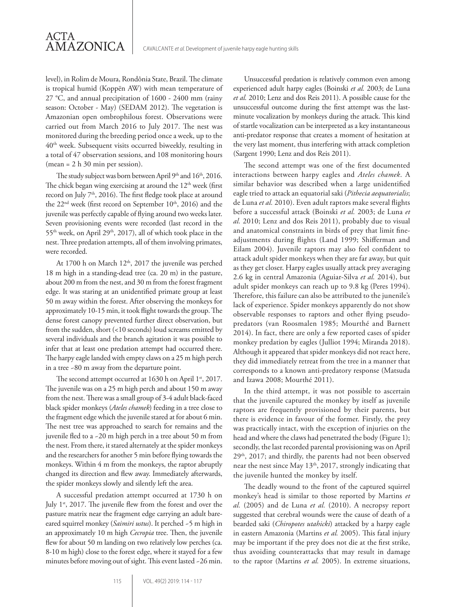level), in Rolim de Moura, Rondônia State, Brazil. The climate is tropical humid (Koppën AW) with mean temperature of 27 °C, and annual precipitation of 1600 - 2400 mm (rainy season: October - May) (SEDAM 2012). The vegetation is Amazonian open ombrophilous forest. Observations were carried out from March 2016 to July 2017. The nest was monitored during the breeding period once a week, up to the 40th week. Subsequent visits occurred biweekly, resulting in a total of 47 observation sessions, and 108 monitoring hours (mean = 2 h 30 min per session).

The study subject was born between April 9<sup>th</sup> and 16<sup>th</sup>, 2016. The chick began wing exercising at around the 12<sup>th</sup> week (first record on July 7<sup>th</sup>, 2016). The first fledge took place at around the  $22<sup>nd</sup>$  week (first record on September  $10<sup>th</sup>$ ,  $2016$ ) and the juvenile was perfectly capable of flying around two weeks later. Seven provisioning events were recorded (last record in the 55<sup>th</sup> week, on April 29<sup>th</sup>, 2017), all of which took place in the nest. Three predation attempts, all of them involving primates, were recorded.

At 1700 h on March 12<sup>th</sup>, 2017 the juvenile was perched 18 m high in a standing-dead tree (ca. 20 m) in the pasture, about 200 m from the nest, and 30 m from the forest fragment edge. It was staring at an unidentified primate group at least 50 m away within the forest. After observing the monkeys for approximately 10-15 min, it took flight towards the group. The dense forest canopy prevented further direct observation, but from the sudden, short (<10 seconds) loud screams emitted by several individuals and the branch agitation it was possible to infer that at least one predation attempt had occurred there. The harpy eagle landed with empty claws on a 25 m high perch in a tree ~80 m away from the departure point.

The second attempt occurred at  $1630$  h on April  $1<sup>st</sup>$ , 2017. The juvenile was on a 25 m high perch and about 150 m away from the nest. There was a small group of 3-4 adult black-faced black spider monkeys (*Ateles chamek*) feeding in a tree close to the fragment edge which the juvenile stared at for about 6 min. The nest tree was approached to search for remains and the juvenile fled to a ~20 m high perch in a tree about 50 m from the nest. From there, it stared alternately at the spider monkeys and the researchers for another 5 min before flying towards the monkeys. Within 4 m from the monkeys, the raptor abruptly changed its direction and flew away. Immediately afterwards, the spider monkeys slowly and silently left the area.

A successful predation attempt occurred at 1730 h on July 1<sup>st</sup>, 2017. The juvenile flew from the forest and over the pasture matrix near the fragment edge carrying an adult bareeared squirrel monkey (*Saimiri ustus*). It perched ~5 m high in an approximately 10 m high *Cecropia* tree. Then, the juvenile flew for about 50 m landing on two relatively low perches (ca. 8-10 m high) close to the forest edge, where it stayed for a few minutes before moving out of sight. This event lasted ~26 min.

Unsuccessful predation is relatively common even among experienced adult harpy eagles (Boinski *et al.* 2003; de Luna *et al.* 2010; Lenz and dos Reis 2011). A possible cause for the unsuccessful outcome during the first attempt was the lastminute vocalization by monkeys during the attack. This kind of startle vocalization can be interpreted as a key instantaneous anti-predator response that creates a moment of hesitation at the very last moment, thus interfering with attack completion (Sargent 1990; Lenz and dos Reis 2011).

The second attempt was one of the first documented interactions between harpy eagles and *Ateles chamek*. A similar behavior was described when a large unidentified eagle tried to attack an equatorial saki (*Pithecia aequatorialis*; de Luna *et al.* 2010). Even adult raptors make several flights before a successful attack (Boinski *et al.* 2003; de Luna *et al.* 2010; Lenz and dos Reis 2011), probably due to visual and anatomical constraints in birds of prey that limit fineadjustments during flights (Land 1999; Shifferman and Eilam 2004). Juvenile raptors may also feel confident to attack adult spider monkeys when they are far away, but quit as they get closer. Harpy eagles usually attack prey averaging 2.6 kg in central Amazonia (Aguiar-Silva *et al.* 2014), but adult spider monkeys can reach up to 9.8 kg (Peres 1994). Therefore, this failure can also be attributed to the junenile's lack of experience. Spider monkeys apparently do not show observable responses to raptors and other flying pseudopredators (van Roosmalen 1985; Mourthé and Barnett 2014). In fact, there are only a few reported cases of spider monkey predation by eagles (Julliot 1994; Miranda 2018). Although it appeared that spider monkeys did not react here, they did immediately retreat from the tree in a manner that corresponds to a known anti-predatory response (Matsuda and Izawa 2008; Mourthé 2011).

In the third attempt, it was not possible to ascertain that the juvenile captured the monkey by itself as juvenile raptors are frequently provisioned by their parents, but there is evidence in favour of the former. Firstly, the prey was practically intact, with the exception of injuries on the head and where the claws had penetrated the body (Figure 1); secondly, the last recorded parental provisioning was on April 29<sup>th</sup>, 2017; and thirdly, the parents had not been observed near the nest since May 13<sup>th</sup>, 2017, strongly indicating that the juvenile hunted the monkey by itself.

The deadly wound to the front of the captured squirrel monkey's head is similar to those reported by Martins *et al.* (2005) and de Luna *et al.* (2010). A necropsy report suggested that cerebral wounds were the cause of death of a bearded saki (*Chiropotes utahicki*) attacked by a harpy eagle in eastern Amazonia (Martins *et al.* 2005). This fatal injury may be important if the prey does not die at the first strike, thus avoiding counterattacks that may result in damage to the raptor (Martins *et al.* 2005). In extreme situations,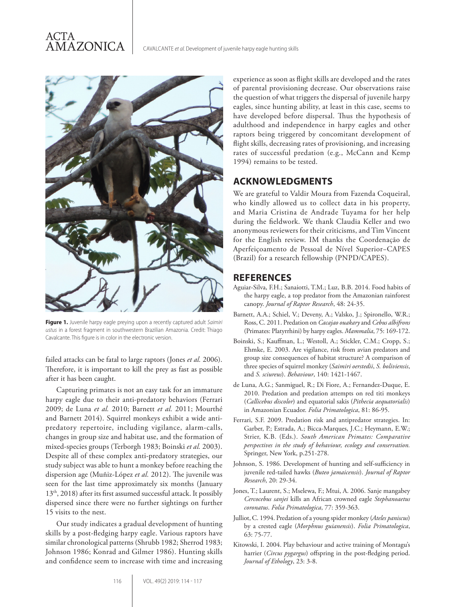

**Figure 1.** Juvenile harpy eagle preying upon a recently captured adult *Saimiri ustus* in a forest fragment in southwestern Brazilian Amazonia. Credit: Thiago Cavalcante. This figure is in color in the electronic version.

failed attacks can be fatal to large raptors (Jones *et al.* 2006). Therefore, it is important to kill the prey as fast as possible after it has been caught.

Capturing primates is not an easy task for an immature harpy eagle due to their anti-predatory behaviors (Ferrari 2009; de Luna *et al.* 2010; Barnett *et al.* 2011; Mourthé and Barnett 2014). Squirrel monkeys exhibit a wide antipredatory repertoire, including vigilance, alarm-calls, changes in group size and habitat use, and the formation of mixed-species groups (Terborgh 1983; Boinski *et al.* 2003). Despite all of these complex anti-predatory strategies, our study subject was able to hunt a monkey before reaching the dispersion age (Muñiz-López *et al.* 2012). The juvenile was seen for the last time approximately six months (January 13th, 2018) after its first assumed successful attack. It possibly dispersed since there were no further sightings on further 15 visits to the nest.

Our study indicates a gradual development of hunting skills by a post-fledging harpy eagle. Various raptors have similar chronological patterns (Shrubb 1982; Sherrod 1983; Johnson 1986; Konrad and Gilmer 1986). Hunting skills and confidence seem to increase with time and increasing experience as soon as flight skills are developed and the rates of parental provisioning decrease. Our observations raise the question of what triggers the dispersal of juvenile harpy eagles, since hunting ability, at least in this case, seems to have developed before dispersal. Thus the hypothesis of adulthood and independence in harpy eagles and other raptors being triggered by concomitant development of flight skills, decreasing rates of provisioning, and increasing rates of successful predation (e.g., McCann and Kemp 1994) remains to be tested.

# **ACKNOWLEDGMENTS**

We are grateful to Valdir Moura from Fazenda Coqueiral, who kindly allowed us to collect data in his property, and Maria Cristina de Andrade Tuyama for her help during the fieldwork. We thank Claudia Keller and two anonymous reviewers for their criticisms, and Tim Vincent for the English review. IM thanks the Coordenação de Aperfeiçoamento de Pessoal de Nível Superior−CAPES (Brazil) for a research fellowship (PNPD/CAPES).

### **REFERENCES**

- Aguiar-Silva, F.H.; Sanaiotti, T.M.; Luz, B.B. 2014. Food habits of the harpy eagle, a top predator from the Amazonian rainforest canopy. *Journal of Raptor Research*, 48: 24-35.
- Barnett, A.A.; Schiel, V.; Deveny, A.; Valsko, J.; Spironello, W.R.; Ross, C. 2011. Predation on *Cacajao ouakary* and *Cebus albifrons* (Primates: Platyrrhini) by harpy eagles. *Mammalia*, 75: 169-172.
- Boinski, S.; Kauffman, L.; Westoll, A.; Stickler, C.M.; Cropp, S.; Ehmke, E. 2003. Are vigilance, risk from avian predators and group size consequences of habitat structure? A comparison of three species of squirrel monkey (*Saimiri oerstedii*, *S. boliviensis*, and *S. sciureus*). *Behaviour*, 140: 1421-1467.
- de Luna, A.G.; Sanmiguel, R.; Di Fiore, A.; Fernandez-Duque, E. 2010. Predation and predation attempts on red titi monkeys (*Callicebus discolor*) and equatorial sakis (*Pithecia aequatorialis*) in Amazonian Ecuador. *Folia Primatologica*, 81: 86-95.
- Ferrari, S.F. 2009. Predation risk and antipredator strategies. In: Garber, P.; Estrada, A.; Bicca-Marques, J.C.; Heymann, E.W.; Strier, K.B. (Eds.). *South American Primates: Comparative perspectives in the study of behaviour, ecology and conservation.* Springer, New York, p.251-278.
- Johnson, S. 1986. Development of hunting and self-sufficiency in juvenile red-tailed hawks (*Buteo jamaicensis*). *Journal of Raptor Research*, 20: 29-34.
- Jones, T.; Laurent, S.; Mselewa, F.; Mtui, A. 2006. Sanje mangabey *Cercocebus sanjei* kills an African crowned eagle *Stephanoaetus coronatus*. *Folia Primatologica*, 77: 359-363.
- Julliot, C. 1994. Predation of a young spider monkey (*Ateles paniscus*) by a crested eagle (*Morphnus guianensis*). *Folia Primatologica*, 63: 75-77.
- Kitowski, I. 2004. Play behaviour and active training of Montagu's harrier (*Circus pygargus*) offspring in the post-fledging period. *Journal of Ethology*, 23: 3-8.